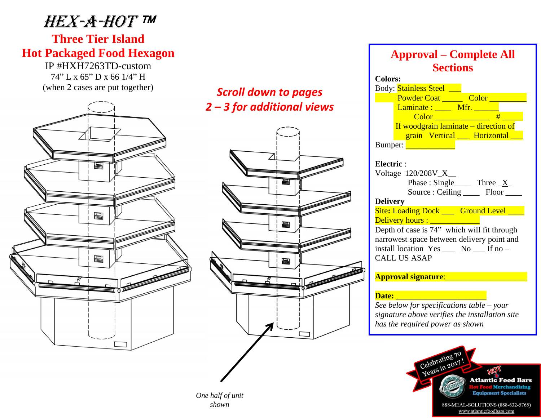## Hex-a-hot

### **Three Tier Island Hot Packaged Food Hexagon**

IP #HXH7263TD-custom 74" L x 65" D x 66 1/4" H



# *2 – 3 for additional views*



**Approval – Complete All Sections Colors:** Body: **Stainless Steel** \_\_ Powder Coat <u>Color Color</u> Laminate : \_\_\_\_\_ Mfr. \_\_\_\_\_\_\_ Color \_\_\_\_\_\_ \_\_\_\_\_\_\_ # \_\_\_\_\_ If woodgrain laminate – direction of grain Vertical \_\_\_ Horizontal Bumper: **Quadrant Electric** : Voltage 120/208V\_X\_\_ Phase : Single Three X Source : Ceiling Floor **Delivery**  Site: Loading Dock \_\_\_\_ Ground Level \_\_\_\_ Delivery hours : \_\_\_\_\_\_\_\_\_\_\_\_ Depth of case is 74" which will fit through narrowest space between delivery point and install location Yes \_\_\_ No \_\_\_ If no – CALL US ASAP **Approval signature**:\_\_\_\_\_\_\_\_\_\_\_\_\_\_\_\_\_\_\_\_ **Date:** \_\_\_\_\_\_\_\_\_\_\_\_\_\_\_\_\_\_\_\_\_\_ *See below for specifications table – your signature above verifies the installation site has the required power as shown*



888-MEAL-SOLUTIONS (888-632-5765) www.atlanticfoodbars.com

*One half of unit shown*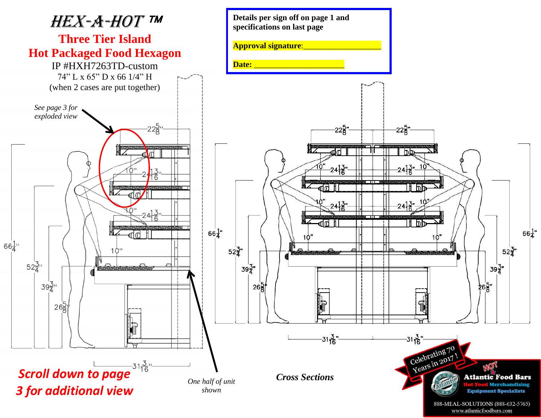